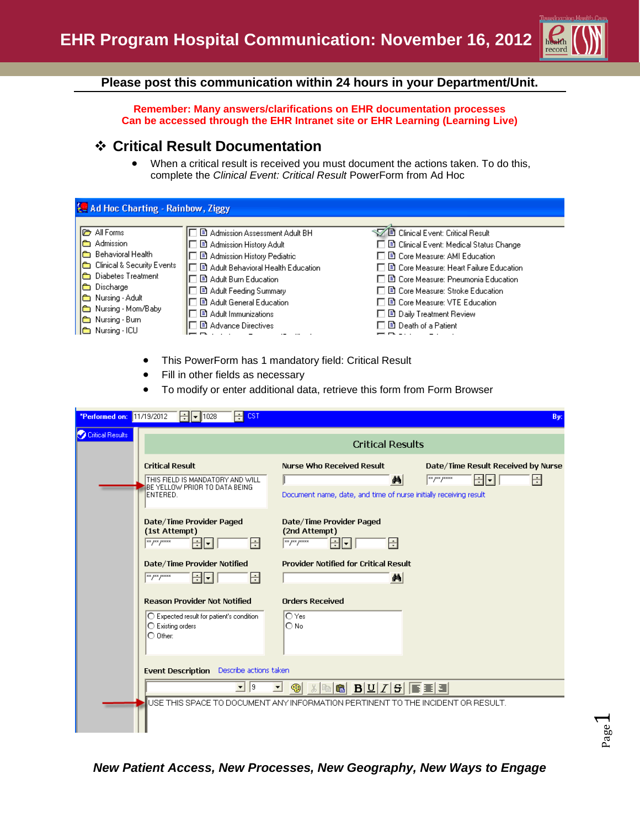

### **Please post this communication within 24 hours in your Department/Unit.**

**Remember: Many answers/clarifications on EHR documentation processes Can be accessed through the EHR Intranet site or EHR Learning (Learning Live)**

## **Critical Result Documentation**

 When a critical result is received you must document the actions taken. To do this, complete the *Clinical Event: Critical Result* PowerForm from Ad Hoc

| <b>Le Ad Hoc Charting - Rainbow, Ziggy</b>                                                                                                                                                                                                                        |                                                                                                                                                                                                                                                                                       |                                                                                                                                                                                                                                                                                                                                        |  |
|-------------------------------------------------------------------------------------------------------------------------------------------------------------------------------------------------------------------------------------------------------------------|---------------------------------------------------------------------------------------------------------------------------------------------------------------------------------------------------------------------------------------------------------------------------------------|----------------------------------------------------------------------------------------------------------------------------------------------------------------------------------------------------------------------------------------------------------------------------------------------------------------------------------------|--|
| <b>I</b> All Forms<br>Admission<br>ها<br><b>Im</b> Behavioral Health<br><b>Exercise</b> Clinical & Security Events<br>Diabetes Treatment<br>le.<br>Discharge<br>1œ<br>Nursing - Adult<br>lê,<br>Nursing - Mom/Baby<br><b>Read Nursing - Burn</b><br>Nursing - ICU | 图 Admission Assessment Adult BH<br>■ Admission History Adult<br><b>B</b> Admission History Pediatric<br>B Adult Behavioral Health Education<br>图 Adult Burn Education<br>图 Adult Feeding Summary<br>图 Adult General Education<br><b>B</b> Adult Immunizations<br>■ Advance Directives | ▽ ■ Clinical Event: Critical Result<br>□ ■ Clinical Event: Medical Status Change<br>口目 Core Measure: AMI Education.<br>□ ■ Core Measure: Heart Failure Education<br>□ 国 Core Measure: Pneumonia Education<br>口目 Core Measure: Stroke Education<br>口目 Core Measure: VTE Education<br>□ 国 Daily Treatment Review<br>■ Death of a Patient |  |

- This PowerForm has 1 mandatory field: Critical Result
- Fill in other fields as necessary
- To modify or enter additional data, retrieve this form from Form Browser

| *Performed on: 11/19/2012 | 1028<br>CST                                                                                                                | By:                                                                                                                                                                                                                                                                                                                                                                              |  |  |  |
|---------------------------|----------------------------------------------------------------------------------------------------------------------------|----------------------------------------------------------------------------------------------------------------------------------------------------------------------------------------------------------------------------------------------------------------------------------------------------------------------------------------------------------------------------------|--|--|--|
| Critical Results          |                                                                                                                            | <b>Critical Results</b>                                                                                                                                                                                                                                                                                                                                                          |  |  |  |
|                           | <b>Critical Result</b><br>THIS FIELD IS MANDATORY AND WILL<br>BE YELLOW PRIOR TO DATA BEING<br>ENTERED.                    | <b>Nurse Who Received Result</b><br>Date/Time Result Received by Nurse<br>$\sqrt{\frac{2}{\pi}}$<br>╣┥<br>÷<br>æ1<br>Document name, date, and time of nurse initially receiving result                                                                                                                                                                                           |  |  |  |
|                           | Date/Time Provider Paged<br>(1st Attempt)<br>H<br>÷l<br>∣▼∣                                                                | Date/Time Provider Paged<br>(2nd Attempt)<br>$\frac{1}{2}$ $\frac{1}{2}$ $\frac{1}{2}$ $\frac{1}{2}$ $\frac{1}{2}$ $\frac{1}{2}$ $\frac{1}{2}$ $\frac{1}{2}$ $\frac{1}{2}$ $\frac{1}{2}$ $\frac{1}{2}$ $\frac{1}{2}$ $\frac{1}{2}$ $\frac{1}{2}$ $\frac{1}{2}$ $\frac{1}{2}$ $\frac{1}{2}$ $\frac{1}{2}$ $\frac{1}{2}$ $\frac{1}{2}$ $\frac{1}{2}$ $\frac{1}{2}$<br>H<br>÷<br>∣▼ |  |  |  |
|                           | Date/Time Provider Notified<br>$\sqrt{\frac{28}{3}}$<br>쉬<br>÷                                                             | <b>Provider Notified for Critical Result</b><br>$\mathbf{A}$                                                                                                                                                                                                                                                                                                                     |  |  |  |
|                           | <b>Reason Provider Not Notified</b><br>O Expected result for patient's condition<br>◯ Existing orders<br>$\bigcirc$ Other: | <b>Orders Received</b><br>l∩ Yesi<br>O No                                                                                                                                                                                                                                                                                                                                        |  |  |  |
|                           | Event Description Describe actions taken                                                                                   |                                                                                                                                                                                                                                                                                                                                                                                  |  |  |  |
|                           | $\vert$ 9<br>$\mathbf{v}$                                                                                                  | $B U Z S  \equiv \equiv   \equiv  $<br>6<br>☜                                                                                                                                                                                                                                                                                                                                    |  |  |  |
|                           |                                                                                                                            | USE THIS SPACE TO DOCUMENT ANY INFORMATION PERTINENT TO THE INCIDENT OR RESULT.                                                                                                                                                                                                                                                                                                  |  |  |  |

### *New Patient Access, New Processes, New Geography, New Ways to Engage*